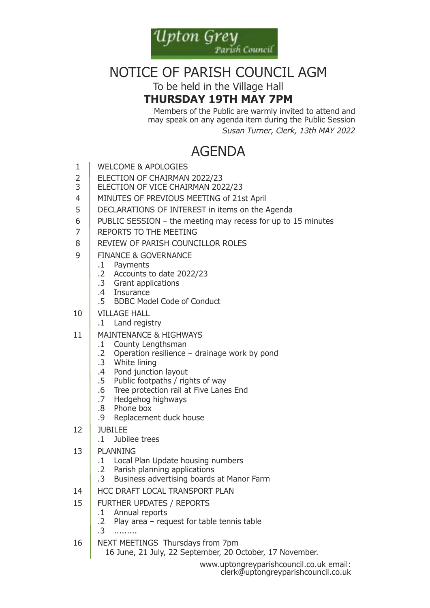

# Notice of Parish couNcil aGM

To be held in the Village Hall

### **Thursday 19Th May 7pM**

Members of the Public are warmly invited to attend and may speak on any agenda item during the Public Session *Susan Turner, Clerk, 13th MAY 2022*

# **AGENDA**

- 1 | WELCOME & APOLOGIES
- 2 ELECTION OF CHAIRMAN 2022/23
- 3 | ELECTION OF VICE CHAIRMAN 2022/23
- 4 | MINUTES OF PREVIOUS MEETING of 21st April
- 5 DECLARATIONS OF INTEREST in items on the Agenda
- 6 PUBLIC SESSION the meeting may recess for up to 15 minutes
- 7 REPORTS TO THE MEETING
- 8 REVIEW OF PARISH COUNCILLOR ROLES
- 9 FINANCE & GOVERNANCE
	- .1 Payments
	- .2 accounts to date 2022/23
	- .3 Grant applications
	- .4 insurance
	- .5 BDBC Model Code of Conduct
- 10 VillaGe hall
	- .1 land registry
- 11 | MAINTENANCE & HIGHWAYS
	- .1 county lengthsman
	- .2 operation resilience drainage work by pond
	- .3 white lining
	- .4 Pond junction layout
	- .5 Public footpaths / rights of way
	- .6 Tree protection rail at Five Lanes End
	- .7 hedgehog highways
	- .8 Phone box
	- .9 Replacement duck house
- 12 Jubilee
	- .1 Jubilee trees
- 13 PlaNNiNG
	- .1 local Plan update housing numbers
	- .2 Parish planning applications
	- .3 business advertising boards at Manor farm
- 14 HCC DRAFT LOCAL TRANSPORT PLAN
- 15 further uPdates / rePorts
	- .1 annual reports
	- .2 Play area request for table tennis table
	- .3 .........
- 16 NEXT MEETINGS Thursdays from 7pm

16 June, 21 July, 22 september, 20 october, 17 November.